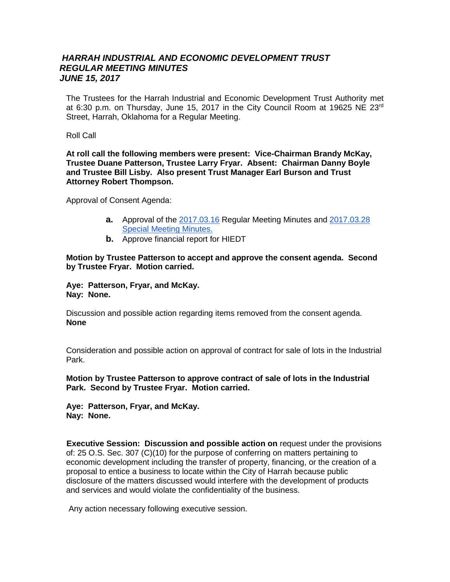## *HARRAH INDUSTRIAL AND ECONOMIC DEVELOPMENT TRUST REGULAR MEETING MINUTES JUNE 15, 2017*

The Trustees for the Harrah Industrial and Economic Development Trust Authority met at 6:30 p.m. on Thursday, June 15, 2017 in the City Council Room at 19625 NE 23rd Street, Harrah, Oklahoma for a Regular Meeting.

## Roll Call

**At roll call the following members were present: Vice-Chairman Brandy McKay, Trustee Duane Patterson, Trustee Larry Fryar. Absent: Chairman Danny Boyle and Trustee Bill Lisby. Also present Trust Manager Earl Burson and Trust Attorney Robert Thompson.** 

Approval of Consent Agenda:

- **a.** Approval of the [2017.03.16](https://docs.google.com/document/d/1YGFb9iZZio2VwdrY9xeyG_lnmmtbB1JdPRw_risBfPk/edit?usp=sharing) Regular Meeting Minutes and [2017.03.28](https://docs.google.com/document/d/1_DsJYZEvokWsu8cXuZnjt1dhHGKpuGYCfSJMq83zTQs/edit?usp=sharing)  **[Special Meeting Minutes.](https://docs.google.com/document/d/1_DsJYZEvokWsu8cXuZnjt1dhHGKpuGYCfSJMq83zTQs/edit?usp=sharing)**
- **b.** Approve financial report for HIEDT

## **Motion by Trustee Patterson to accept and approve the consent agenda. Second by Trustee Fryar. Motion carried.**

## **Aye: Patterson, Fryar, and McKay. Nay: None.**

Discussion and possible action regarding items removed from the consent agenda. **None**

Consideration and possible action on approval of contract for sale of lots in the Industrial Park.

**Motion by Trustee Patterson to approve contract of sale of lots in the Industrial Park. Second by Trustee Fryar. Motion carried.**

**Aye: Patterson, Fryar, and McKay. Nay: None.**

**Executive Session: Discussion and possible action on request under the provisions** of: 25 O.S. Sec. 307 (C)(10) for the purpose of conferring on matters pertaining to economic development including the transfer of property, financing, or the creation of a proposal to entice a business to locate within the City of Harrah because public disclosure of the matters discussed would interfere with the development of products and services and would violate the confidentiality of the business.

Any action necessary following executive session.